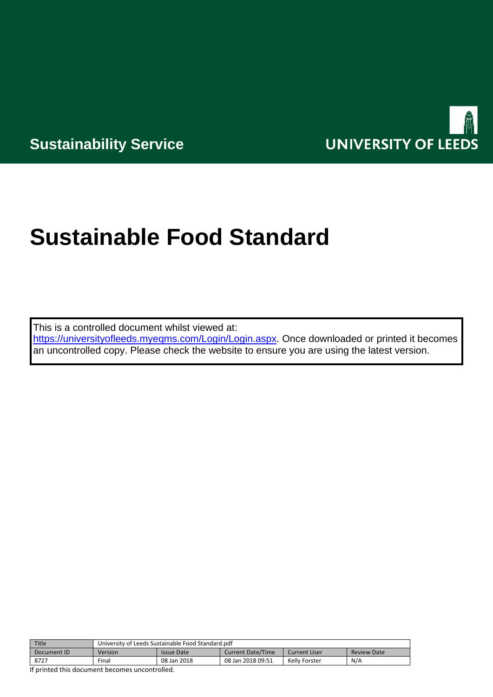

**Sustainability Service**

# **Sustainable Food Standard**

This is a controlled document whilst viewed at:

[https://universityofleeds.myeqms.com/Login/Login.aspx.](https://universityofleeds.myeqms.com/Login/Login.aspx) Once downloaded or printed it becomes an uncontrolled copy. Please check the website to ensure you are using the latest version.

| Title       | University of Leeds Sustainable Food Standard.pdf |                   |                          |               |                    |  |
|-------------|---------------------------------------------------|-------------------|--------------------------|---------------|--------------------|--|
| Document ID | Version                                           | <b>Issue Date</b> | <b>Current Date/Time</b> | Current User  | <b>Review Date</b> |  |
| 8727        | Final                                             | 08 Jan 2018       | 08 Jan 2018 09:51        | Kelly Forster | N/A                |  |

If printed this document becomes uncontrolled.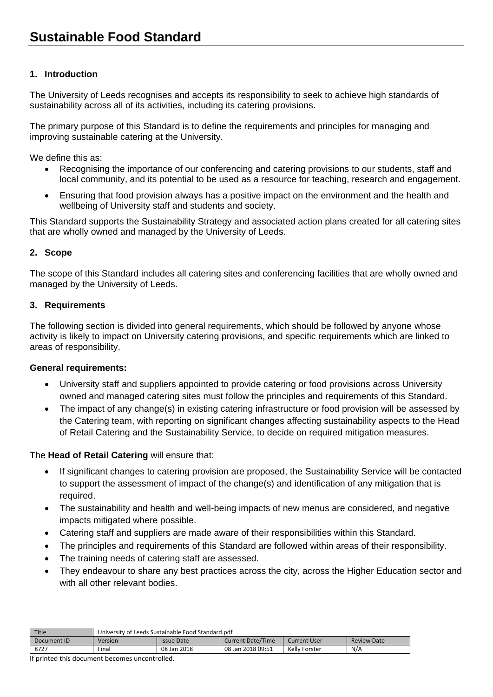# **1. Introduction**

The University of Leeds recognises and accepts its responsibility to seek to achieve high standards of sustainability across all of its activities, including its catering provisions.

The primary purpose of this Standard is to define the requirements and principles for managing and improving sustainable catering at the University.

We define this as:

- Recognising the importance of our conferencing and catering provisions to our students, staff and local community, and its potential to be used as a resource for teaching, research and engagement.
- Ensuring that food provision always has a positive impact on the environment and the health and wellbeing of University staff and students and society.

This Standard supports the Sustainability Strategy and associated action plans created for all catering sites that are wholly owned and managed by the University of Leeds.

## **2. Scope**

The scope of this Standard includes all catering sites and conferencing facilities that are wholly owned and managed by the University of Leeds.

#### **3. Requirements**

The following section is divided into general requirements, which should be followed by anyone whose activity is likely to impact on University catering provisions, and specific requirements which are linked to areas of responsibility.

#### **General requirements:**

- University staff and suppliers appointed to provide catering or food provisions across University owned and managed catering sites must follow the principles and requirements of this Standard.
- The impact of any change(s) in existing catering infrastructure or food provision will be assessed by the Catering team, with reporting on significant changes affecting sustainability aspects to the Head of Retail Catering and the Sustainability Service, to decide on required mitigation measures.

The **Head of Retail Catering** will ensure that:

- If significant changes to catering provision are proposed, the Sustainability Service will be contacted to support the assessment of impact of the change(s) and identification of any mitigation that is required.
- The sustainability and health and well-being impacts of new menus are considered, and negative impacts mitigated where possible.
- Catering staff and suppliers are made aware of their responsibilities within this Standard.
- The principles and requirements of this Standard are followed within areas of their responsibility.
- The training needs of catering staff are assessed.
- They endeavour to share any best practices across the city, across the Higher Education sector and with all other relevant bodies.

| Title       | University of Leeds Sustainable Food Standard.pdf |             |                   |               |                    |
|-------------|---------------------------------------------------|-------------|-------------------|---------------|--------------------|
| Document ID | Version                                           | Issue Date  | Current Date/Time | Current User  | <b>Review Date</b> |
| 8727        | Final                                             | 08 Jan 2018 | 08 Jan 2018 09:51 | Kelly Forster | N/A                |

If printed this document becomes uncontrolled.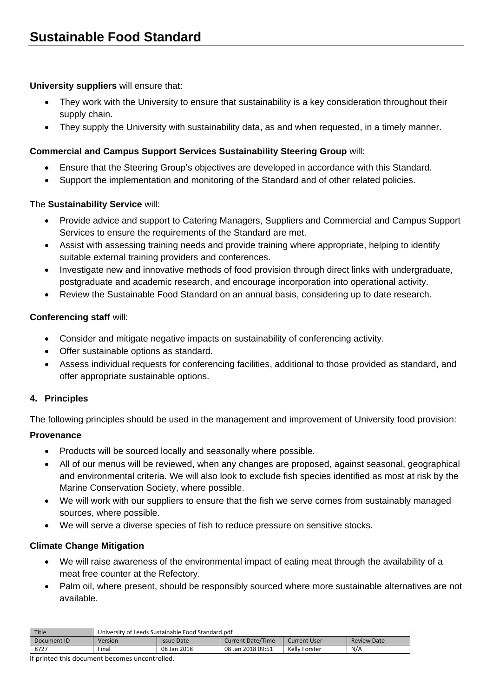#### **University suppliers** will ensure that:

- They work with the University to ensure that sustainability is a key consideration throughout their supply chain.
- They supply the University with sustainability data, as and when requested, in a timely manner.

## **Commercial and Campus Support Services Sustainability Steering Group** will:

- Ensure that the Steering Group's objectives are developed in accordance with this Standard.
- Support the implementation and monitoring of the Standard and of other related policies.

## The **Sustainability Service** will:

- Provide advice and support to Catering Managers, Suppliers and Commercial and Campus Support Services to ensure the requirements of the Standard are met.
- Assist with assessing training needs and provide training where appropriate, helping to identify suitable external training providers and conferences.
- Investigate new and innovative methods of food provision through direct links with undergraduate, postgraduate and academic research, and encourage incorporation into operational activity.
- Review the Sustainable Food Standard on an annual basis, considering up to date research.

## **Conferencing staff** will:

- Consider and mitigate negative impacts on sustainability of conferencing activity.
- Offer sustainable options as standard.
- Assess individual requests for conferencing facilities, additional to those provided as standard, and offer appropriate sustainable options.

## **4. Principles**

The following principles should be used in the management and improvement of University food provision:

## **Provenance**

- Products will be sourced locally and seasonally where possible.
- All of our menus will be reviewed, when any changes are proposed, against seasonal, geographical and environmental criteria. We will also look to exclude fish species identified as most at risk by the Marine Conservation Society, where possible.
- We will work with our suppliers to ensure that the fish we serve comes from sustainably managed sources, where possible.
- We will serve a diverse species of fish to reduce pressure on sensitive stocks.

## **Climate Change Mitigation**

- We will raise awareness of the environmental impact of eating meat through the availability of a meat free counter at the Refectory.
- Palm oil, where present, should be responsibly sourced where more sustainable alternatives are not available.

| Title       | University of Leeds Sustainable Food Standard.pdf |                   |                   |               |                    |
|-------------|---------------------------------------------------|-------------------|-------------------|---------------|--------------------|
| Document ID | Version                                           | <b>Issue Date</b> | Current Date/Time | Current User  | <b>Review Date</b> |
| 8727        | Final                                             | 08 Jan 2018       | 08 Jan 2018 09:51 | Kelly Forster | N/A                |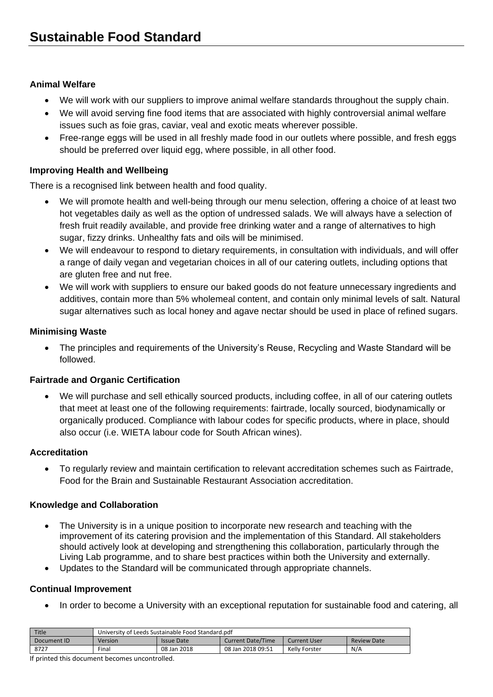## **Animal Welfare**

- We will work with our suppliers to improve animal welfare standards throughout the supply chain.
- We will avoid serving fine food items that are associated with highly controversial animal welfare issues such as foie gras, caviar, veal and exotic meats wherever possible.
- Free-range eggs will be used in all freshly made food in our outlets where possible, and fresh eggs should be preferred over liquid egg, where possible, in all other food.

# **Improving Health and Wellbeing**

There is a recognised link between health and food quality.

- We will promote health and well-being through our menu selection, offering a choice of at least two hot vegetables daily as well as the option of undressed salads. We will always have a selection of fresh fruit readily available, and provide free drinking water and a range of alternatives to high sugar, fizzy drinks. Unhealthy fats and oils will be minimised.
- We will endeavour to respond to dietary requirements, in consultation with individuals, and will offer a range of daily vegan and vegetarian choices in all of our catering outlets, including options that are gluten free and nut free.
- We will work with suppliers to ensure our baked goods do not feature unnecessary ingredients and additives, contain more than 5% wholemeal content, and contain only minimal levels of salt. Natural sugar alternatives such as local honey and agave nectar should be used in place of refined sugars.

## **Minimising Waste**

 The principles and requirements of the University's Reuse, Recycling and Waste Standard will be followed.

## **Fairtrade and Organic Certification**

 We will purchase and sell ethically sourced products, including coffee, in all of our catering outlets that meet at least one of the following requirements: fairtrade, locally sourced, biodynamically or organically produced. Compliance with labour codes for specific products, where in place, should also occur (i.e. WIETA labour code for South African wines).

# **Accreditation**

 To regularly review and maintain certification to relevant accreditation schemes such as Fairtrade, Food for the Brain and Sustainable Restaurant Association accreditation.

# **Knowledge and Collaboration**

- The University is in a unique position to incorporate new research and teaching with the improvement of its catering provision and the implementation of this Standard. All stakeholders should actively look at developing and strengthening this collaboration, particularly through the Living Lab programme, and to share best practices within both the University and externally.
- Updates to the Standard will be communicated through appropriate channels.

## **Continual Improvement**

• In order to become a University with an exceptional reputation for sustainable food and catering, all

| Title       | University of Leeds Sustainable Food Standard.pdf |                   |                          |               |                    |
|-------------|---------------------------------------------------|-------------------|--------------------------|---------------|--------------------|
| Document ID | Version                                           | <b>Issue Date</b> | <b>Current Date/Time</b> | Current User  | <b>Review Date</b> |
| 8727        | Final                                             | 08 Jan 2018       | 08 Jan 2018 09:51        | Kelly Forster | N/A                |

If printed this document becomes uncontrolled.